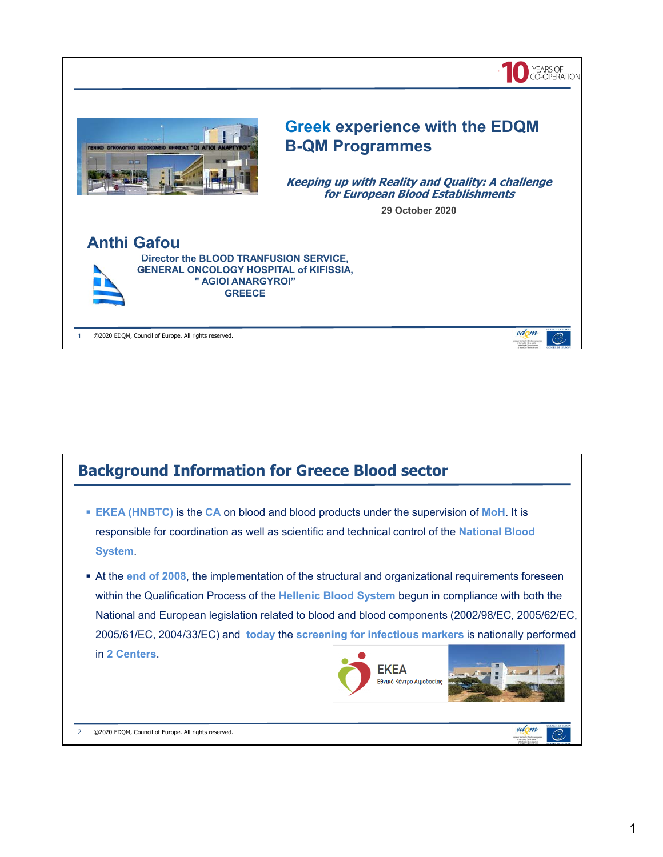



2 ©2020 EDQM, Council of Europe. All rights reserved.

 $\mathcal{O}$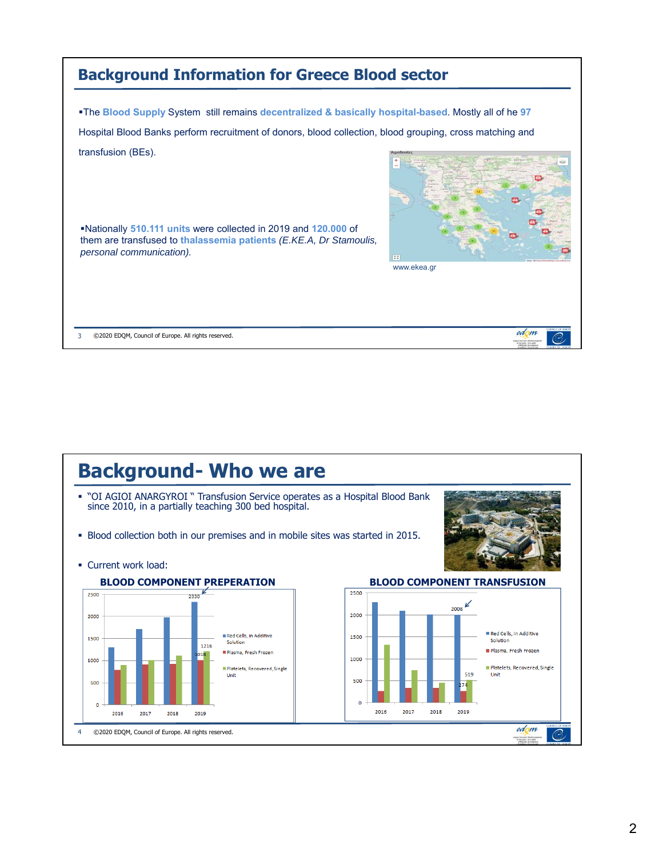| <b>Background Information for Greece Blood sector</b>                                                                                                                                                                      |                  |
|----------------------------------------------------------------------------------------------------------------------------------------------------------------------------------------------------------------------------|------------------|
| <b>The Blood Supply System still remains decentralized &amp; basically hospital-based. Mostly all of he 97</b><br>Hospital Blood Banks perform recruitment of donors, blood collection, blood grouping, cross matching and |                  |
| transfusion (BEs).<br>. Nationally 510.111 units were collected in 2019 and 120.000 of<br>them are transfused to thalassemia patients (E.KE.A, Dr Stamoulis,<br>personal communication).                                   | m<br>www.ekea.gr |
| ©2020 EDOM, Council of Europe. All rights reserved.                                                                                                                                                                        | edom             |

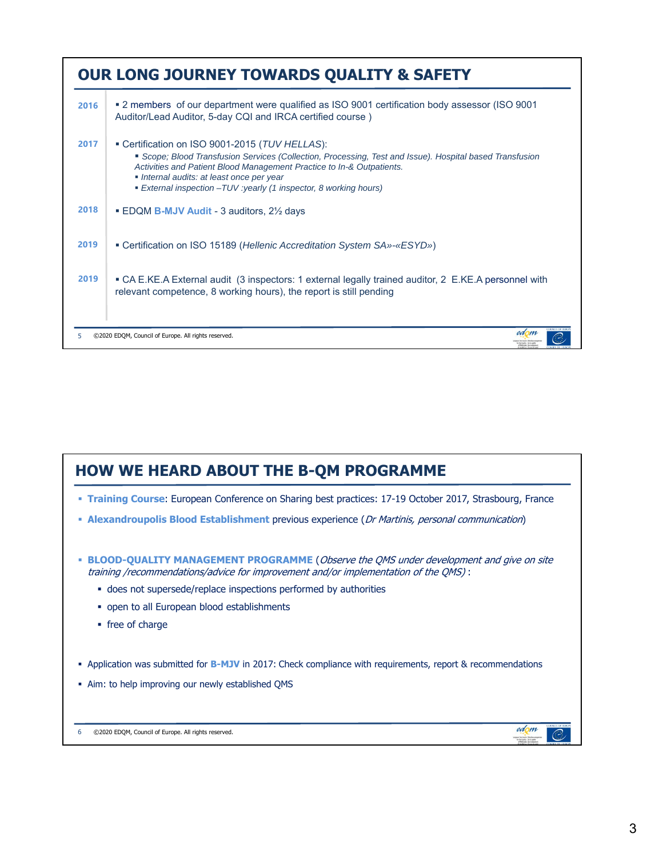|      | <b>OUR LONG JOURNEY TOWARDS QUALITY &amp; SAFETY</b>                                                                                                                                                                                                                                                                                             |
|------|--------------------------------------------------------------------------------------------------------------------------------------------------------------------------------------------------------------------------------------------------------------------------------------------------------------------------------------------------|
| 2016 | <b>•</b> 2 members of our department were qualified as ISO 9001 certification body assessor (ISO 9001<br>Auditor/Lead Auditor, 5-day CQI and IRCA certified course)                                                                                                                                                                              |
| 2017 | Certification on ISO 9001-2015 (TUV HELLAS):<br>Scope; Blood Transfusion Services (Collection, Processing, Test and Issue). Hospital based Transfusion<br>Activities and Patient Blood Management Practice to In-& Outpatients.<br>• Internal audits: at least once per year<br>External inspection - TUV: yearly (1 inspector, 8 working hours) |
| 2018 | <b>EDQM B-MJV Audit - 3 auditors, 2</b> $\frac{1}{2}$ days                                                                                                                                                                                                                                                                                       |
| 2019 | • Certification on ISO 15189 (Hellenic Accreditation System SA»-«ESYD»)                                                                                                                                                                                                                                                                          |
| 2019 | • CA E.KE.A External audit (3 inspectors: 1 external legally trained auditor, 2 E.KE.A personnel with<br>relevant competence, 8 working hours), the report is still pending                                                                                                                                                                      |
| 5    | edom<br>©2020 EDOM, Council of Europe. All rights reserved.                                                                                                                                                                                                                                                                                      |

## **HOW WE HEARD ABOUT THE B-QM PROGRAMME**

- **Training Course**: European Conference on Sharing best practices: 17-19 October 2017, Strasbourg, France
- **Alexandroupolis Blood Establishment** previous experience (Dr Martinis, personal communication)
- **BLOOD-QUALITY MANAGEMENT PROGRAMME** (Observe the QMS under development and give on site training /recommendations/advice for improvement and/or implementation of the QMS) :
	- does not supersede/replace inspections performed by authorities
	- open to all European blood establishments
	- free of charge
- **-** Application was submitted for **B-MJV** in 2017: Check compliance with requirements, report & recommendations
- Aim: to help improving our newly established QMS

6 ©2020 EDQM, Council of Europe. All rights reserved.

edom

spean Don (such)<br>In the Dockly

C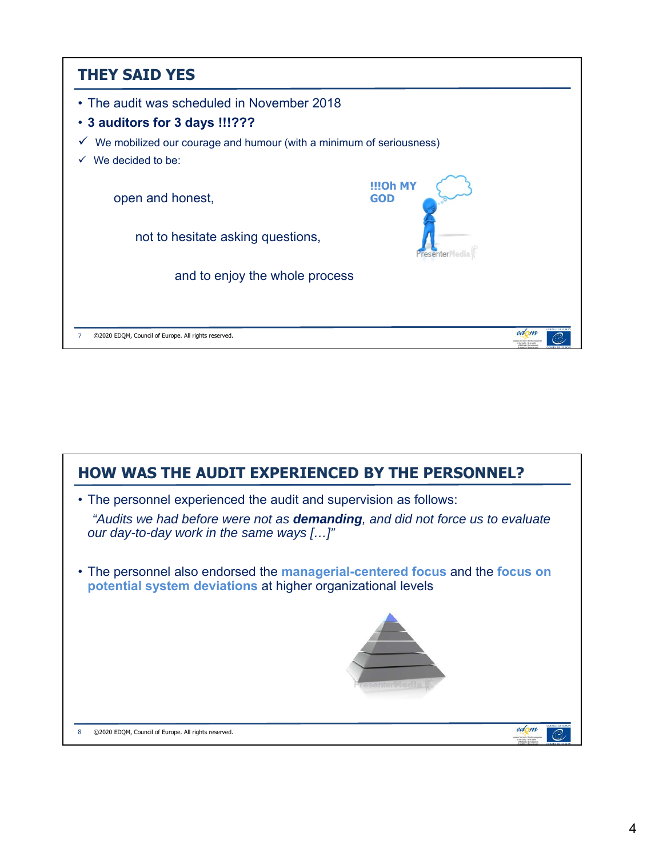| <b>THEY SAID YES</b>                                                                |                               |
|-------------------------------------------------------------------------------------|-------------------------------|
| • The audit was scheduled in November 2018                                          |                               |
| . 3 auditors for 3 days !!!???                                                      |                               |
| We mobilized our courage and humour (with a minimum of seriousness)<br>$\checkmark$ |                               |
| We decided to be:                                                                   |                               |
| open and honest,                                                                    | <b>IIIOh MY</b><br><b>GOD</b> |
| not to hesitate asking questions,                                                   | <i><u>Presenter</u></i>       |
| and to enjoy the whole process                                                      |                               |
|                                                                                     |                               |
| ©2020 EDOM, Council of Europe. All rights reserved.                                 | edom                          |

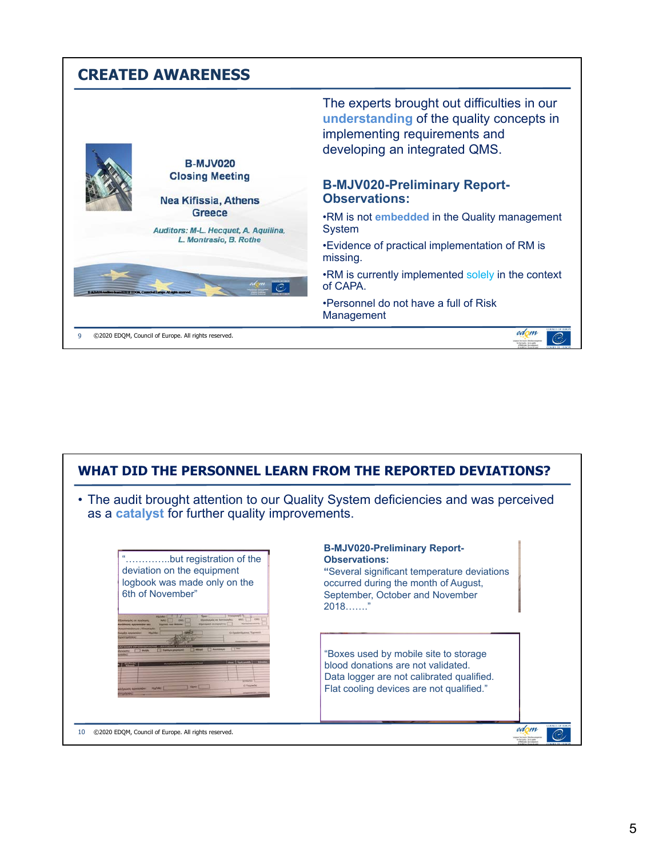|                                                                      | <b>CREATED AWARENESS</b>                              |                                                                                                                                                           |
|----------------------------------------------------------------------|-------------------------------------------------------|-----------------------------------------------------------------------------------------------------------------------------------------------------------|
|                                                                      | <b>B-MJV020</b>                                       | The experts brought out difficulties in our<br>understanding of the quality concepts in<br>implementing requirements and<br>developing an integrated QMS. |
|                                                                      | <b>Closing Meeting</b><br><b>Nea Kifissia, Athens</b> | <b>B-MJV020-Preliminary Report-</b><br><b>Observations:</b>                                                                                               |
|                                                                      | Greece<br>Auditors: M-L. Hecquet, A. Aquilina,        | .RM is not <b>embedded</b> in the Quality management<br>System                                                                                            |
|                                                                      | L. Montrasio, B. Rothe                                | •Evidence of practical implementation of RM is<br>missing.                                                                                                |
| LANGUA Auxiliara imma (CZN 12 FEXAA), Control of Exetym All rights a | C)                                                    | .RM is currently implemented solely in the context<br>of CAPA.                                                                                            |
|                                                                      |                                                       | •Personnel do not have a full of Risk<br>Management                                                                                                       |
|                                                                      | ©2020 EDQM, Council of Europe. All rights reserved.   | edom<br>by the Dunble Tim le board                                                                                                                        |

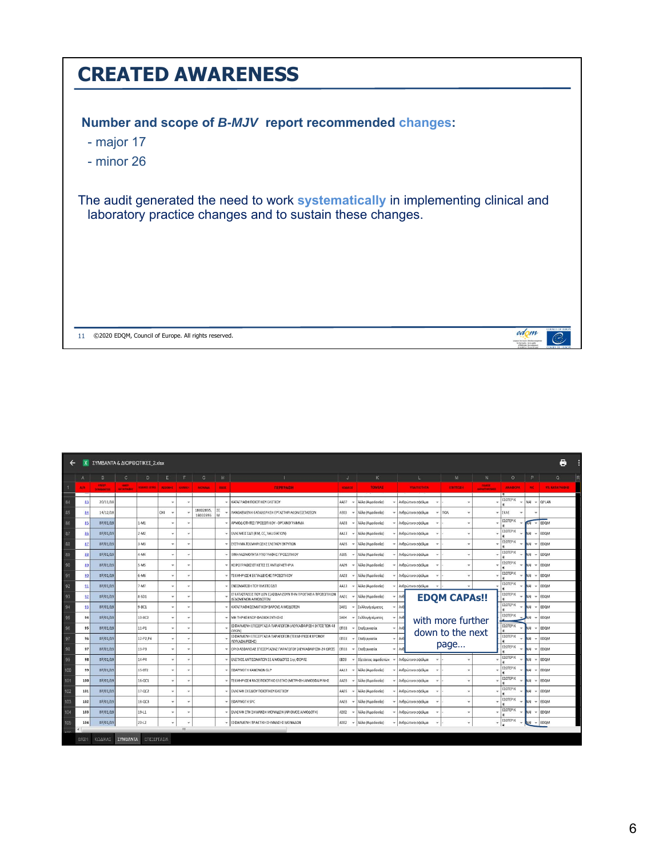| <b>CREATED AWARENESS</b>                                                                                                                      |                                                      |
|-----------------------------------------------------------------------------------------------------------------------------------------------|------------------------------------------------------|
| Number and scope of B-MJV report recommended changes:<br>- major 17<br>- minor 26                                                             |                                                      |
| The audit generated the need to work systematically in implementing clinical and<br>laboratory practice changes and to sustain these changes. |                                                      |
|                                                                                                                                               |                                                      |
| ©2020 EDQM, Council of Europe. All rights reserved.<br>11                                                                                     | <b>DENCH OF HIS</b><br>edom<br>by the Duddy in Scout |

|     | e<br>ΣΥΜΒΑΝΤΑ & ΔΙΟΡΘΩΤΙΚΕΣ 2.xlsx |                                 |                                   |                       |                |               |                       |         |                                                                                    |               |                     |                            |                     |                                       |                 |               |                        |
|-----|------------------------------------|---------------------------------|-----------------------------------|-----------------------|----------------|---------------|-----------------------|---------|------------------------------------------------------------------------------------|---------------|---------------------|----------------------------|---------------------|---------------------------------------|-----------------|---------------|------------------------|
|     |                                    | B                               | $\mathbf{C}$                      | D                     | Ε              |               | G                     | H       | т.                                                                                 | $\mathbf{J}$  | K                   |                            | M                   | N                                     | $\circ$         | P             | $\mathbf Q$            |
|     | MA.                                | <b>HMER</b><br><b>TYMBANTOS</b> | <b>HAMP</b><br><b>SATATIVADIO</b> | <b>COLORED EDITOR</b> | <b>ALDENNE</b> | KAININH       | <b>MONASA</b>         | BARS    | <b>ПЕРИРАФН</b>                                                                    | <b>KOMMOT</b> | <b>TOMEAS</b>       | <b>VIAITIOTHTA</b>         | ENIMOUR             | <b>ELLION</b><br><b>GARANTHORNHOL</b> | <b>ANADOPA</b>  | NC.           | <b>WIL KATAFPAIDIE</b> |
| 84  | 83                                 | 20/11/18                        |                                   |                       |                |               |                       |         | ΚΑΤΑΓΡΑΦΗ ΠΟΙΟΤΙΚΟΥ ΕΛΕΓΧΟΥ                                                        | 4407          | Άλλα (Αιμοδοσία)    | Ανθρώπινο σφάλμα           |                     |                                       | ΕΣΩΤΕΡΙΚ        | NAI           | <b>QPLAN</b>           |
| 85  | 84                                 | 14/12/18                        |                                   |                       | OXI            |               | 18002895,<br>18002896 | ΣE<br>M | ΛΑΝΘΑΣΜΕΝΗ ΚΑΤΑΧΩΡΗΣΗ ΕΡΓΑΣΤΗΡΙΑΚΩΝ ΕΞΕΤΑΣΕΩΝ                                      | AE03          | Άλλα (Αιμοδοσία)    | Ανθρώπινο σφάλμα           | <b>I</b> non        |                                       | EKAE            |               |                        |
| 86  | 85                                 | 07/01/19                        |                                   | $1-M1$                |                |               |                       |         | ΑΡΜΟΔΙΟΤΗΤΕΣ ΠΡΟΣΩΠΙΚΟΥ - ΟΡΓΑΝΟΓΡΑΜΜΑ                                             | AA03          | Άλλα (Αιμοδοσία)    | Ανθρώπινο σφάλμα           |                     |                                       | ΕΣΩΤΕΡΙΚ        | KAT           | $=$ EDQM               |
| 87  | 86                                 | 07/01/19                        |                                   | $2-M2$                | ٠              |               |                       |         | EAAEIWEIZ ZΔΠ (RM, CC, VALIDATION)                                                 | AA13          | Άλλα (Αιμοδοσία)    | Ανθρώπινο σφάλμα           |                     |                                       | ΕΣΩΤΕΡΙΚ        | <b>NAI</b>    | EDOM                   |
| 88  | 87                                 | 07/01/19                        |                                   | $3-M3$                | ٠              |               |                       |         | ΣΥΣΤΗΜΑ ΤΕΚΜΗΡΙΩΣΗΣ ΕΛΕΓΧΟΥ ΕΝΤΥΠΩΝ                                                | AA05          | Άλλα (Αιμοδοσία)    | Ανθρώπινο σφάλμα           |                     |                                       | ΕΣΩΤΕΡΙΚ        | NAI<br>$\sim$ | EDQM                   |
| 89  | 88                                 | 07/01/19                        |                                   | $4 - M4$              | $\checkmark$   |               |                       |         | ΙΧΝΗΛΑΣΙΜΟΤΗΤΑ ΥΠΟΓΡΑΦΗΣ ΠΡΟΣΩΠΙΚΟΥ                                                | AEO5          | Άλλα (Αιμοδοσία)    | Ανθρώπινο σφάλμα           |                     |                                       | ΕΣΩΤΕΡΙΚ        | NAI           | EDQM                   |
| 90  | 89                                 | 07/01/19                        |                                   | $5 - MS$              | ×              | $\sim$        |                       |         | ΧΕΙΡΟΓΡΑΦΕΣ ΕΤΙΚΕΤΕΣ ΣΕ ΑΝΤΙΔΡΑΣΤΗΡΙΑ                                              | R0AA          | Άλλα (Αιμοδοσία)    | Ανθρώπινο σφάλμα           |                     |                                       | ΕΣΩΤΕΡΙΚ        | NAI           | EDQM                   |
| 91  | 90                                 | 07/01/19                        |                                   | $6 - M6$              | ٠              |               |                       |         | ΤΕΚΜΗΡΙΩΣΗ ΕΚΠΑΙΔΕΥΣΗΣ ΠΡΟΣΩΠΙΚΟΥ                                                  | E0AA          | Άλλα (Αιμοδοσία)    | Ανθρώπινο σφάλμα           |                     |                                       | ΕΣΩΤΕΡΙΚ        | NAI           | EDOM                   |
| 92  | 91                                 | 07/01/19                        |                                   | $7-M7$                | ٠              | $\sim$        |                       |         | ΕΝΣΩΜΑΤΩΣΗ ΤΟΥ RM ΣΤΟ ΣΔΠ                                                          | AA13          | Άλλα (Αιμοδοσία)    | Ανθρώπινο σφάλμα<br>٠      |                     |                                       | ΕΣΩΤΕΡΙΚ        | NAI           | EDOM                   |
| 93  | 92                                 | 07/01/19                        |                                   | 8-SD1                 | ٠              |               |                       |         | ΕΓΚΑΤΑΣΤΑΣΕΙΣ ΠΟΥ ΔΕΝ ΕΞΑΣΦΑΛΙΖΟΥΝ ΤΗΝ ΠΡΟΣΤΑΣΙΑ ΠΡΟΣΩΠΙΚΩΝ<br>ΔΕΔΟΜΕΝΩΝ ΑΙΜΟΔΟΤΩΝ | 401           | Άλλα (Αιμοδοσία)    | Ave                        | <b>EDQM CAPAS!!</b> |                                       | ΕΣΩΤΕΡΙΚ        | NAI           | EDOM                   |
| 94  | 93                                 | 07/01/19                        |                                   | $9 - BC1$             | ٠              | $\sim$        |                       |         | ΚΑΤΑΓΡΑΦΗ ΣΩΜΑΤΙΚΟΥ ΒΑΡΟΥΣ ΑΙΜΟΔΟΤΩΝ                                               | ΣA01          | Συλλογή αίματος     | $Av\theta$<br>÷            |                     |                                       | ΕΣΩΤΕΡΙΚ        | <b>NAI</b>    | EDOM                   |
| 95  | 94                                 | 07/01/19                        |                                   | $10-BC2$              | ٠              |               |                       |         | ΜΗ ΤΗΡΗΣΗ SOP ΦΛΕΒΟΚΕΝΤΗΣΗΣ                                                        | ΣA04          | Συλλονή αίματος     | Avé<br>÷                   | with more further   |                                       | ΕΣΩΤΕΡΙΚ        | <b>IAI</b>    | EDOM                   |
| 96  | 95                                 | 07/01/19                        |                                   | $11 - P1$             | ÷              |               |                       |         | ΕΣΦΑΛΜΕΝΗ ΕΠΕΞΕΡΓΑΣΙΑ ΠΑΡΑΓΩΓΩΝ (ΛΕΥΚΑΦΑΙΡΕΣΗ ΕΚΤΟΣ ΤΩΝ 48<br><b>OPON</b>          | IN03          | Επεξεργασία         | Avé<br>÷                   | down to the next    |                                       | <b>EZOTEPIK</b> | <b>IAV</b>    | EDOM                   |
| 97  | 96                                 | 07/01/19                        |                                   | 12-P2.P4              |                |               |                       |         | ΕΣΦΑΛΜΕΝΗ ΕΠΕΞΕΡΓΑΣΙΑ ΠΑΡΑΓΩΓΩΝ (ΤΕΚΜΗΡΙΩΣΗ ΧΡΟΝΟΥ<br>ΛΕΥΚΑΦΑΙΡΕΣΗΣ)               | EN03          | Επεξεργασία         | Ave<br>٠                   |                     |                                       | ΕΣΩΤΕΡΙΚ        | NAI           | EDOM                   |
| 98  | 97                                 | 07/01/19                        |                                   | $13 - P3$             |                | ×             |                       |         | ΟΡΙΟ ΑΣΦΑΛΕΙΑΣ ΕΠΕΞΕΡΓΑΣΙΑΣ ΠΑΡΑΓΩΓΟΥ (ΛΕΥΚΑΦΑΙΡΕΣΗ-24 ΩΡΕΣ)                       | EN03          | Επεξεργασία         | Avf<br>٠                   | page                |                                       | ΕΣΩΤΕΡΙΚ        | NAI<br>٠      | EDQM                   |
| 99  | 98                                 | 07/01/19                        |                                   | $14 - P4$             |                |               |                       |         | ΕΛΕΓΧΟΣ ΑΝΤΙΣΩΜΑΤΩΝ ΣΕ ΑΙΜΟΔΟΤΕΣ 1ης ΦΟΡΑΣ                                         | EE03          | Εξετάσεις αιμοδοτών | Ανθρώπινο σφάλμα           |                     |                                       | ΕΣΩΤΕΡΙΚ        | NAI<br>٠      | EDQM                   |
| 100 | 99                                 | 07/01/19                        |                                   | 15-BT2                | ×              |               |                       |         | ΕΦΑΡΜΟΓΗ ΚΑΝΟΝΩΝ GLP                                                               | AA13          | Άλλα (Αιμοδοσία)    | Ανθρώπινο σφάλμα           |                     |                                       | ΕΣΩΤΕΡΙΚ        | <b>NAI</b>    | EDQM                   |
| 101 | 100                                | 07/01/19                        |                                   | 16-QC1                |                |               |                       |         | ΤΕΚΜΗΡΙΩΣΗ RA ΣΕ ΠΟΙΟΤΙΚΟ ΕΛΕΓΧΟ (ΜΕΤΡΗΣΗ ΑΙΜΟΣΦΑΙΡΙΝΗΣ                            | AA05          | Άλλα (Αιμοδοσία)    | Ανθρώπινο σφάλμα           |                     |                                       | ΕΣΩΤΕΡΙΚ        | <b>NAI</b>    | EDQM                   |
| 102 | 101                                | 07/01/19                        |                                   | $17-0C2$              | ×              | $\sim$        |                       |         | ΕΛΛΕΙΨΗ ΣΧΕΔΙΟΥ ΠΟΙΟΤΙΚΟΥ ΕΛΕΓΧΟΥ                                                  | 4405          | Άλλα (Αιμοδοσία)    | Ανθρώπινο σφάλμα           |                     |                                       | ΕΣΩΤΕΡΙΚ        | NAI           | EDOM                   |
| 103 | 102                                | 07/01/19                        |                                   | 18-QC3                | ٠              | $\rightarrow$ |                       |         | EФAPMOFH SPC                                                                       | AA05          | Άλλα (Αιμοδοσία)    | Ανθρώπινο σφάλμα<br>٠      |                     |                                       | ΕΣΩΤΕΡΙΚ        | NAI           | EDOM                   |
| 104 | 103                                | 07/01/19                        |                                   | $19 - 11$             | ×              |               |                       |         | ΕΛΛΕΙΨΗ ΣΤΗ ΣΗΜΑΝΣΗ ΜΟΝΑΔΩΝ (ΑΡΙΘΜΟΣ ΑΙΜΟΔΟΤΗ)                                     | 4202          | Άλλα (Αιμοδοσία)    | Ανθρώπινο σφάλμα           |                     |                                       | ΕΣΩΤΕΡΙΚ        | NAI           | EDQM                   |
| 105 | 104                                | 07/01/19                        |                                   | $20 - 12$             | ٠              | $\rightarrow$ |                       |         | - ΕΣΦΑΛΜΕΝΗ ΠΡΑΚΤΙΚΗ ΣΗΜΑΝΣΗΣ ΜΟΝΑΔΩΝ                                              | AZ02          | Άλλα (Αιμοδοσία)    | Ανθρώπινο σφαλμα<br>٠<br>٠ |                     |                                       | ΕΣΩΤΕΡΙΚ        | <b>JAJ</b>    | $-$ EDQM               |
|     | BAΣH                               | ΚΩΔΙΚΑΣ                         | ΣΥΜΒΑΝΤΑ                          | ΕΠΕΞΕΡΓΑΣΙΑ           |                | m             |                       |         |                                                                                    |               |                     |                            |                     |                                       |                 |               |                        |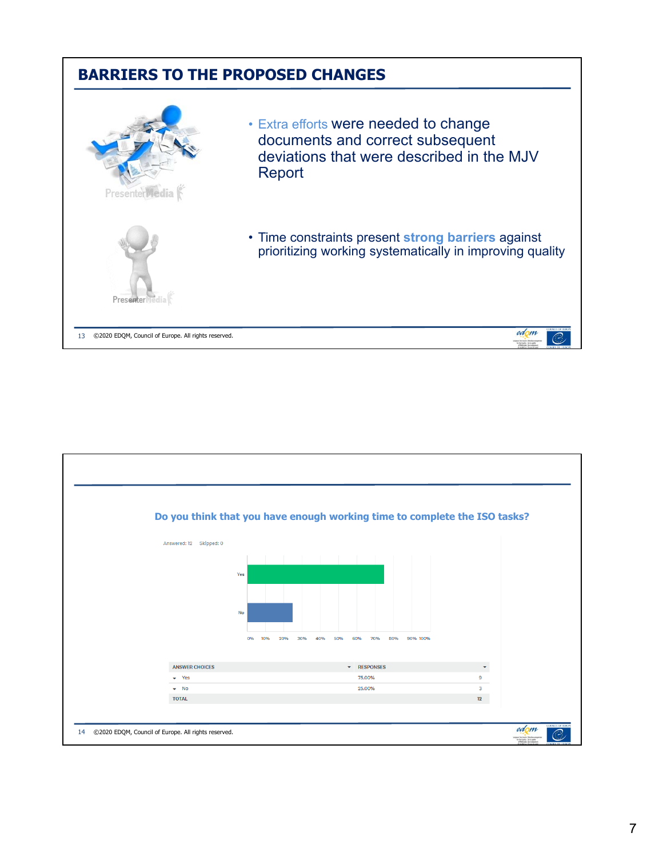## **BARRIERS TO THE PROPOSED CHANGES**



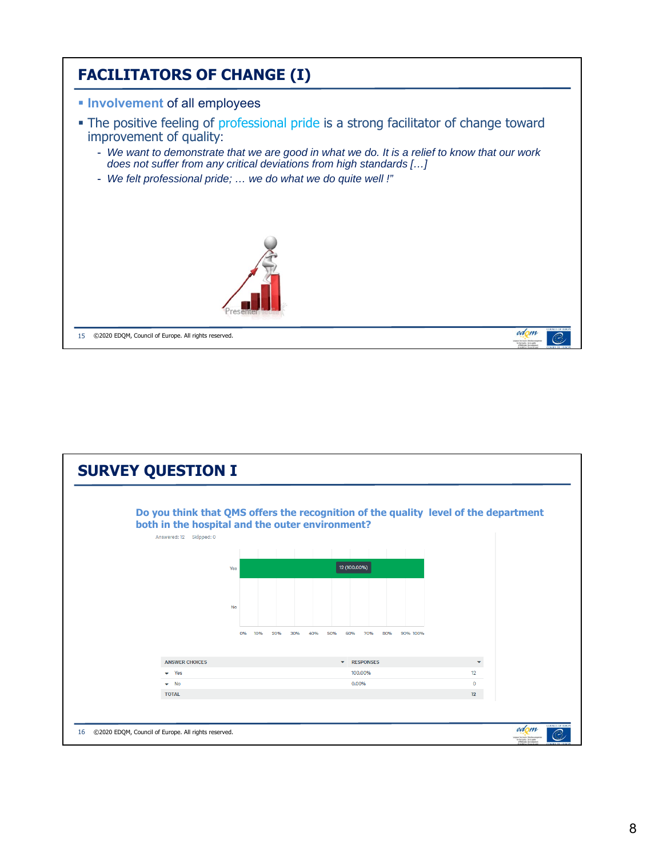

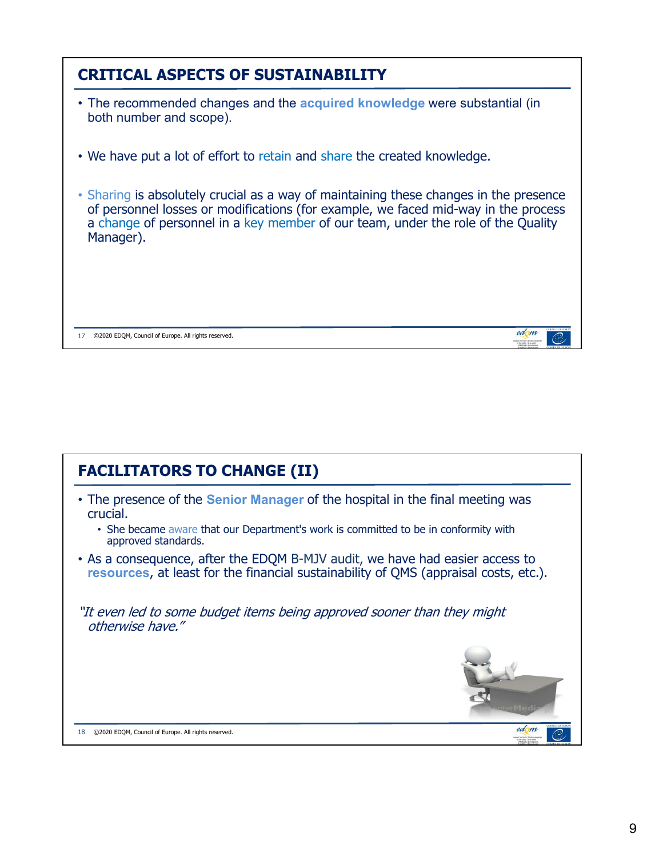| <b>CRITICAL ASPECTS OF SUSTAINABILITY</b>                                                                                                                                                                                                                                    |
|------------------------------------------------------------------------------------------------------------------------------------------------------------------------------------------------------------------------------------------------------------------------------|
| • The recommended changes and the acquired knowledge were substantial (in<br>both number and scope).                                                                                                                                                                         |
| • We have put a lot of effort to retain and share the created knowledge.                                                                                                                                                                                                     |
| • Sharing is absolutely crucial as a way of maintaining these changes in the presence<br>of personnel losses or modifications (for example, we faced mid-way in the process<br>a change of personnel in a key member of our team, under the role of the Quality<br>Manager). |
| edom<br>©2020 EDQM, Council of Europe. All rights reserved.<br>17                                                                                                                                                                                                            |

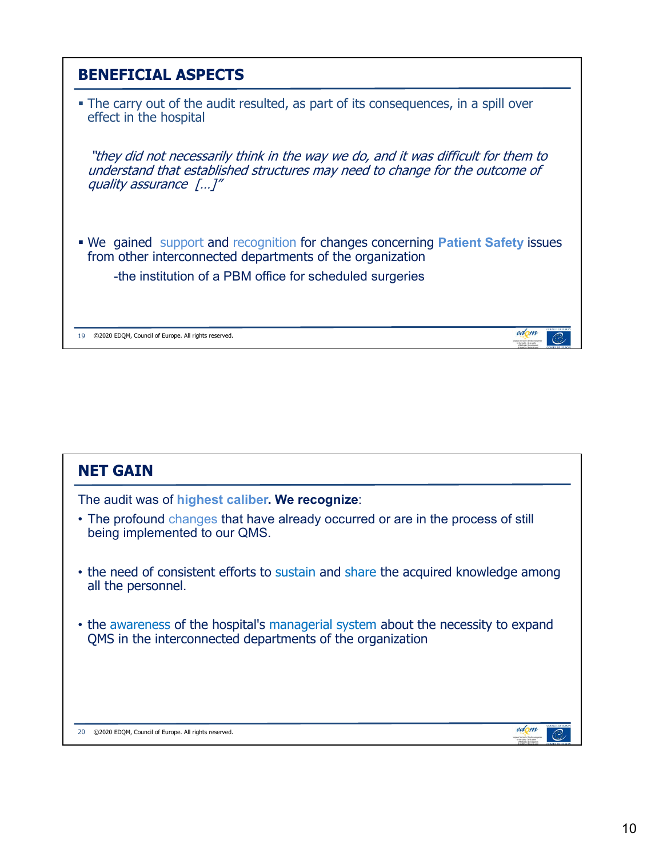

| <b>NET GAIN</b>                                                                                                                                |
|------------------------------------------------------------------------------------------------------------------------------------------------|
| The audit was of highest caliber. We recognize:                                                                                                |
| • The profound changes that have already occurred or are in the process of still<br>being implemented to our QMS.                              |
| • the need of consistent efforts to sustain and share the acquired knowledge among<br>all the personnel.                                       |
| • the awareness of the hospital's managerial system about the necessity to expand<br>QMS in the interconnected departments of the organization |
|                                                                                                                                                |
|                                                                                                                                                |
| edom<br>©2020 EDQM, Council of Europe. All rights reserved.<br>20                                                                              |